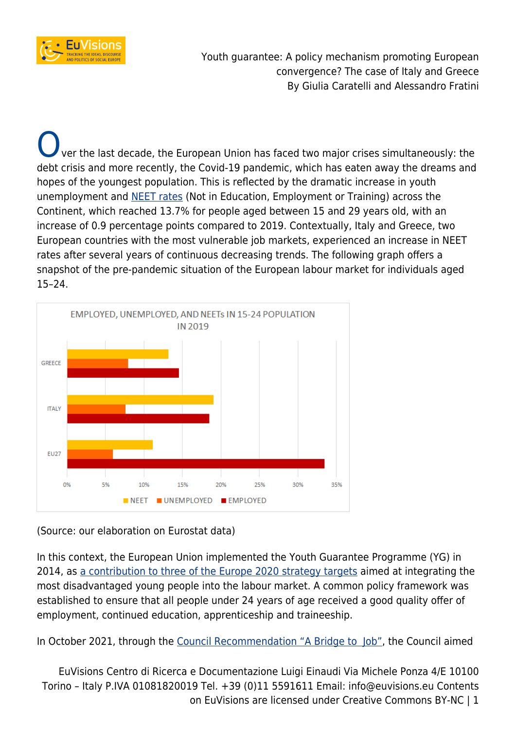

ver the last decade, the European Union has faced two major crises simultaneously: the debt crisis and more recently, the Covid-19 pandemic, which has eaten away the dreams and hopes of the youngest population. This is reflected by the dramatic increase in youth unemployment and [NEET rates](https://ec.europa.eu/eurostat/statistics-explained/index.php?title=Statistics_on_young_people_neither_in_employment_nor_in_education_or_training) (Not in Education, Employment or Training) across the Continent, which reached 13.7% for people aged between 15 and 29 years old, with an increase of 0.9 percentage points compared to 2019. Contextually, Italy and Greece, two European countries with the most vulnerable job markets, experienced an increase in NEET rates after several years of continuous decreasing trends. The following graph offers a snapshot of the pre-pandemic situation of the European labour market for individuals aged 15–24.



(Source: our elaboration on Eurostat data)

In this context, the European Union implemented the Youth Guarantee Programme (YG) in 2014, as [a contribution to three of the Europe 2020 strategy targets](https://eur-lex.europa.eu/legal-content/EN/ALL/?uri=CELEX%3A52012PC0729) aimed at integrating the most disadvantaged young people into the labour market. A common policy framework was established to ensure that all people under 24 years of age received a good quality offer of employment, continued education, apprenticeship and traineeship.

In October 2021, through the [Council Recommendation "A Bridge to Job"](https://eur-lex.europa.eu/legal-content/EN/TXT/?uri=uriserv%3AOJ.C_.2020.372.01.0001.01.ENG&toc=OJ%3AC%3A2020%3A372%3ATOC), the Council aimed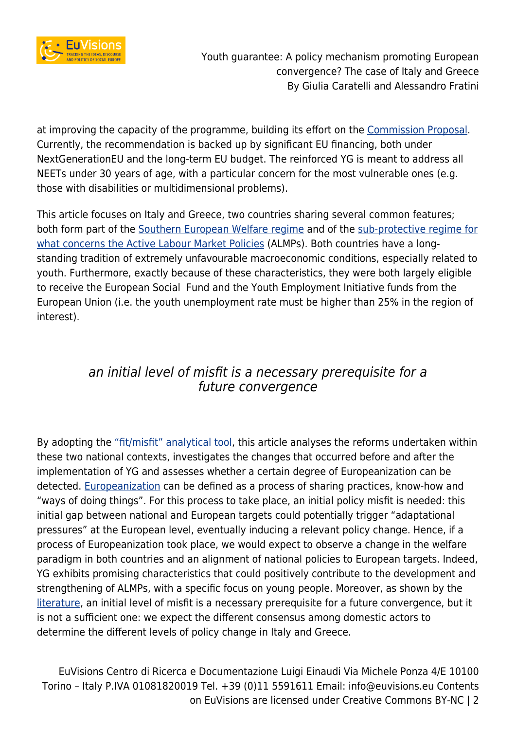

at improving the capacity of the programme, building its effort on the [Commission Proposal.](https://eur-lex.europa.eu/legal-content/EN/TXT/?qid=1594047695309&uri=CELEX:52020DC0277) Currently, the recommendation is backed up by significant EU financing, both under NextGenerationEU and the long-term EU budget. The reinforced YG is meant to address all NEETs under 30 years of age, with a particular concern for the most vulnerable ones (e.g. those with disabilities or multidimensional problems).

This article focuses on Italy and Greece, two countries sharing several common features; both form part of the [Southern European Welfare regime](https://journals.sagepub.com/doi/10.1177/095892879600600102) and of the [sub-protective regime for](https://www.salto-youth.net/downloads/4-17-803/DisadvantagedYouthPolicyAnnex.pdf) [what concerns the Active Labour Market Policies](https://www.salto-youth.net/downloads/4-17-803/DisadvantagedYouthPolicyAnnex.pdf) (ALMPs). Both countries have a longstanding tradition of extremely unfavourable macroeconomic conditions, especially related to youth. Furthermore, exactly because of these characteristics, they were both largely eligible to receive the European Social Fund and the Youth Employment Initiative funds from the European Union (i.e. the youth unemployment rate must be higher than 25% in the region of interest).

# an initial level of misfit is a necessary prerequisite for a future convergence

By adopting the ["fit/misfit" analytical tool,](https://onlinelibrary.wiley.com/doi/full/10.1111/j.1468-0491.2011.01533.x) this article analyses the reforms undertaken within these two national contexts, investigates the changes that occurred before and after the implementation of YG and assesses whether a certain degree of Europeanization can be detected. [Europeanization](https://papers.ssrn.com/sol3/papers.cfm?abstract_id=601163) can be defined as a process of sharing practices, know-how and "ways of doing things". For this process to take place, an initial policy misfit is needed: this initial gap between national and European targets could potentially trigger "adaptational pressures" at the European level, eventually inducing a relevant policy change. Hence, if a process of Europeanization took place, we would expect to observe a change in the welfare paradigm in both countries and an alignment of national policies to European targets. Indeed, YG exhibits promising characteristics that could positively contribute to the development and strengthening of ALMPs, with a specific focus on young people. Moreover, as shown by the [literature,](https://onlinelibrary.wiley.com/doi/full/10.1111/j.1468-0491.2011.01533.x) an initial level of misfit is a necessary prerequisite for a future convergence, but it is not a sufficient one: we expect the different consensus among domestic actors to determine the different levels of policy change in Italy and Greece.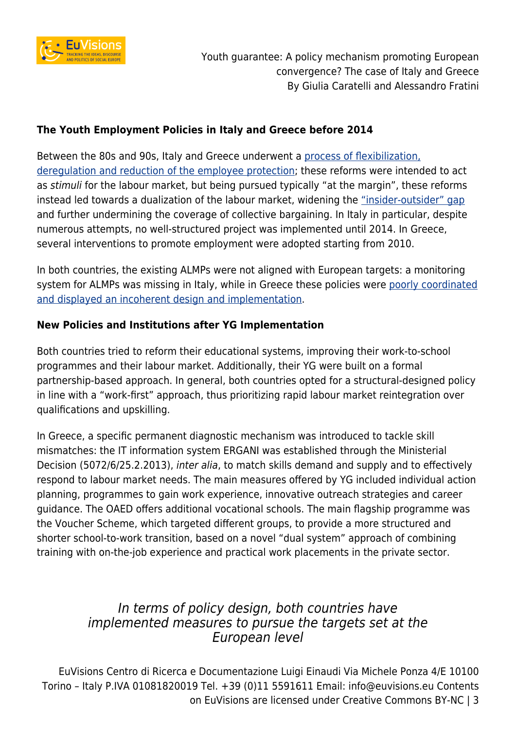

### **The Youth Employment Policies in Italy and Greece before 2014**

Between the 80s and 90s, Italy and Greece underwent a [process of flexibilization,](https://onlinelibrary.wiley.com/doi/full/10.1111/jcms.12533) [deregulation and reduction of the employee protection](https://onlinelibrary.wiley.com/doi/full/10.1111/jcms.12533); these reforms were intended to act as stimuli for the labour market, but being pursued typically "at the margin", these reforms instead led towards a dualization of the labour market, widening the ["insider-outsider" gap](https://www.momentum-quarterly.org/ojs2/index.php/momentum/article/download/3622/2753) and further undermining the coverage of collective bargaining. In Italy in particular, despite numerous attempts, no well-structured project was implemented until 2014. In Greece, several interventions to promote employment were adopted starting from 2010.

In both countries, the existing ALMPs were not aligned with European targets: a monitoring system for ALMPs was missing in Italy, while in Greece these policies were [poorly coordinated](https://www.researchgate.net/publication/318677797_Active_Labour_Market_Policies_in_Greece_Challenges_and_responses_during_the_economic_crisis_Social_Policy_Vol_6_June_pp_45-66) [and displayed an incoherent design and implementation](https://www.researchgate.net/publication/318677797_Active_Labour_Market_Policies_in_Greece_Challenges_and_responses_during_the_economic_crisis_Social_Policy_Vol_6_June_pp_45-66).

### **New Policies and Institutions after YG Implementation**

Both countries tried to reform their educational systems, improving their work-to-school programmes and their labour market. Additionally, their YG were built on a formal partnership-based approach. In general, both countries opted for a structural-designed policy in line with a "work-first" approach, thus prioritizing rapid labour market reintegration over qualifications and upskilling.

In Greece, a specific permanent diagnostic mechanism was introduced to tackle skill mismatches: the IT information system ERGANI was established through the Ministerial Decision (5072/6/25.2.2013), inter alia, to match skills demand and supply and to effectively respond to labour market needs. The main measures offered by YG included individual action planning, programmes to gain work experience, innovative outreach strategies and career guidance. The OAED offers additional vocational schools. The main flagship programme was the Voucher Scheme, which targeted different groups, to provide a more structured and shorter school-to-work transition, based on a novel "dual system" approach of combining training with on-the-job experience and practical work placements in the private sector.

# In terms of policy design, both countries have implemented measures to pursue the targets set at the European level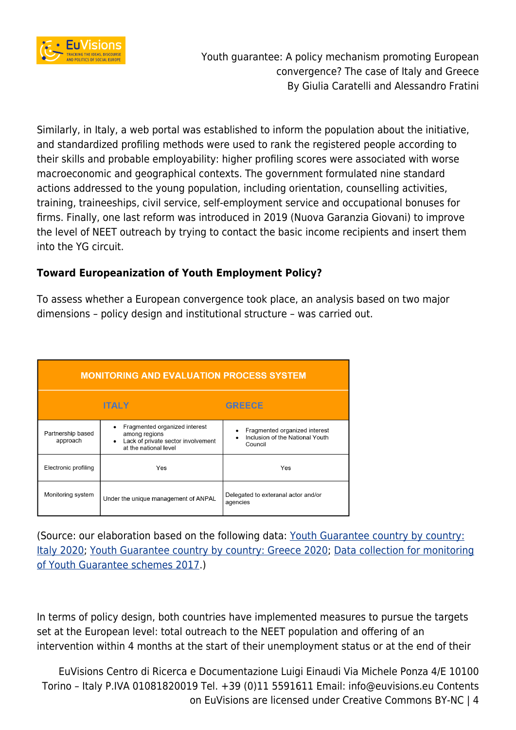

Similarly, in Italy, a web portal was established to inform the population about the initiative, and standardized profiling methods were used to rank the registered people according to their skills and probable employability: higher profiling scores were associated with worse macroeconomic and geographical contexts. The government formulated nine standard actions addressed to the young population, including orientation, counselling activities, training, traineeships, civil service, self-employment service and occupational bonuses for firms. Finally, one last reform was introduced in 2019 (Nuova Garanzia Giovani) to improve the level of NEET outreach by trying to contact the basic income recipients and insert them into the YG circuit.

### **Toward Europeanization of Youth Employment Policy?**

To assess whether a European convergence took place, an analysis based on two major dimensions – policy design and institutional structure – was carried out.

| <b>MONITORING AND EVALUATION PROCESS SYSTEM</b> |                                                                                                                                         |                                                                                                       |
|-------------------------------------------------|-----------------------------------------------------------------------------------------------------------------------------------------|-------------------------------------------------------------------------------------------------------|
|                                                 | <b>ITALY</b>                                                                                                                            | <b>GREECE</b>                                                                                         |
| Partnership based<br>approach                   | Fragmented organized interest<br>$\bullet$<br>among regions<br>Lack of private sector involvement<br>$\bullet$<br>at the national level | Fragmented organized interest<br>$\bullet$<br>Inclusion of the National Youth<br>$\bullet$<br>Council |
| Electronic profiling                            | Yes                                                                                                                                     | Yes                                                                                                   |
| Monitoring system                               | Under the unique management of ANPAL                                                                                                    | Delegated to exteranal actor and/or<br>agencies                                                       |

(Source: our elaboration based on the following data: [Youth Guarantee country by country:](https://ec.europa.eu/social/main.jsp?catId=1161&langId=en&intPageId=3340) [Italy 2020;](https://ec.europa.eu/social/main.jsp?catId=1161&langId=en&intPageId=3340) [Youth Guarantee country by country: Greece 2020](https://ec.europa.eu/social/main.jsp?catId=1161&langId=en&intPageId=3337); [Data collection for monitoring](https://www.google.com/url?sa=t&rct=j&q=&esrc=s&source=web&cd=&ved=2ahUKEwjshuP374n2AhULHOwKHSqXAmoQFnoECAkQAQ&url=https%3A%2F%2Fec.europa.eu%2Fsocial%2FBlobServlet%3FdocId%3D20656%26langId%3Den&usg=AOvVaw27aRIjhWQzBlkGHTmDhdB0) [of Youth Guarantee schemes 2017](https://www.google.com/url?sa=t&rct=j&q=&esrc=s&source=web&cd=&ved=2ahUKEwjshuP374n2AhULHOwKHSqXAmoQFnoECAkQAQ&url=https%3A%2F%2Fec.europa.eu%2Fsocial%2FBlobServlet%3FdocId%3D20656%26langId%3Den&usg=AOvVaw27aRIjhWQzBlkGHTmDhdB0).)

In terms of policy design, both countries have implemented measures to pursue the targets set at the European level: total outreach to the NEET population and offering of an intervention within 4 months at the start of their unemployment status or at the end of their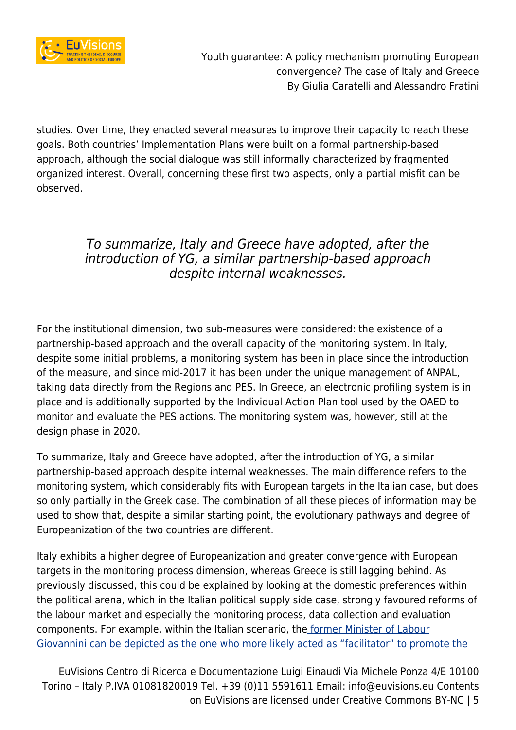

studies. Over time, they enacted several measures to improve their capacity to reach these goals. Both countries' Implementation Plans were built on a formal partnership-based approach, although the social dialogue was still informally characterized by fragmented organized interest. Overall, concerning these first two aspects, only a partial misfit can be observed.

# To summarize, Italy and Greece have adopted, after the introduction of YG, a similar partnership-based approach despite internal weaknesses.

For the institutional dimension, two sub-measures were considered: the existence of a partnership-based approach and the overall capacity of the monitoring system. In Italy, despite some initial problems, a monitoring system has been in place since the introduction of the measure, and since mid-2017 it has been under the unique management of ANPAL, taking data directly from the Regions and PES. In Greece, an electronic profiling system is in place and is additionally supported by the Individual Action Plan tool used by the OAED to monitor and evaluate the PES actions. The monitoring system was, however, still at the design phase in 2020.

To summarize, Italy and Greece have adopted, after the introduction of YG, a similar partnership-based approach despite internal weaknesses. The main difference refers to the monitoring system, which considerably fits with European targets in the Italian case, but does so only partially in the Greek case. The combination of all these pieces of information may be used to show that, despite a similar starting point, the evolutionary pathways and degree of Europeanization of the two countries are different.

Italy exhibits a higher degree of Europeanization and greater convergence with European targets in the monitoring process dimension, whereas Greece is still lagging behind. As previously discussed, this could be explained by looking at the domestic preferences within the political arena, which in the Italian political supply side case, strongly favoured reforms of the labour market and especially the monitoring process, data collection and evaluation components. For example, within the Italian scenario, the [former Minister of Labour](https://www.degruyter.com/document/doi/10.1515/wps-2017-0005/html) [Giovannini can be depicted as the one who more likely acted as "facilitator" to promote the](https://www.degruyter.com/document/doi/10.1515/wps-2017-0005/html)